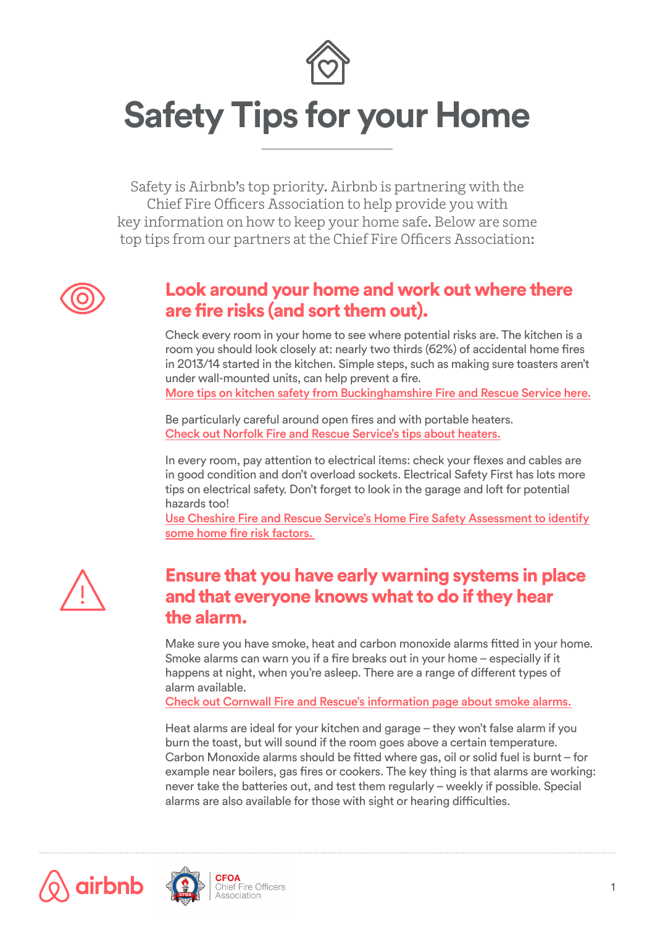

# **Safety Tips for your Home**

Safety is Airbnb's top priority. Airbnb is partnering with the Chief Fire Officers Association to help provide you with key information on how to keep your home safe. Below are some top tips from our partners at the Chief Fire Officers Association:



## Look around your home and work out where there are fire risks (and sort them out).

Check every room in your home to see where potential risks are. The kitchen is a room you should look closely at: nearly two thirds (62%) of accidental home fires in 2013/14 started in the kitchen. Simple steps, such as making sure toasters aren't under wall-mounted units, can help prevent a fire.

[More tips on kitchen safety from Buckinghamshire Fire and Rescue Service here.](http://bucksfire.gov.uk/homes/kitchen-safety/)

Be particularly careful around open fires and with portable heaters. [Check out Norfolk Fire and Rescue Service's tips about heaters.](http://www.norfolkfireservice.gov.uk/nfrs/your-safety/safety-in-your-home/19-useful-guides/25-portable-heaters)

In every room, pay attention to electrical items: check your flexes and cables are in good condition and don't overload sockets. Electrical Safety First has lots more tips on electrical safety. Don't forget to look in the garage and loft for potential hazards too!

[Use Cheshire Fire and Rescue Service's Home Fire Safety Assessment to identify](https://www.cheshirefire.gov.uk/homesafetycheck/) [some home fire risk factors.](https://www.cheshirefire.gov.uk/homesafetycheck/)



## Ensure that you have early warning systems in place and that everyone knows what to do if they hear the alarm.

Make sure you have smoke, heat and carbon monoxide alarms fitted in your home. Smoke alarms can warn you if a fire breaks out in your home – especially if it happens at night, when you're asleep. There are a range of different types of alarm available.

[Check out Cornwall Fire and Rescue's information page about smoke alarms.](http://www.cornwall.gov.uk/community-and-living/cornwall-fire-and-rescue-service-homepage/keeping-safe/fire-safety-at-home/smoke-alarms/)

Heat alarms are ideal for your kitchen and garage – they won't false alarm if you burn the toast, but will sound if the room goes above a certain temperature. Carbon Monoxide alarms should be fitted where gas, oil or solid fuel is burnt – for example near boilers, gas fires or cookers. The key thing is that alarms are working: never take the batteries out, and test them regularly – weekly if possible. Special alarms are also available for those with sight or hearing difficulties.



airbnb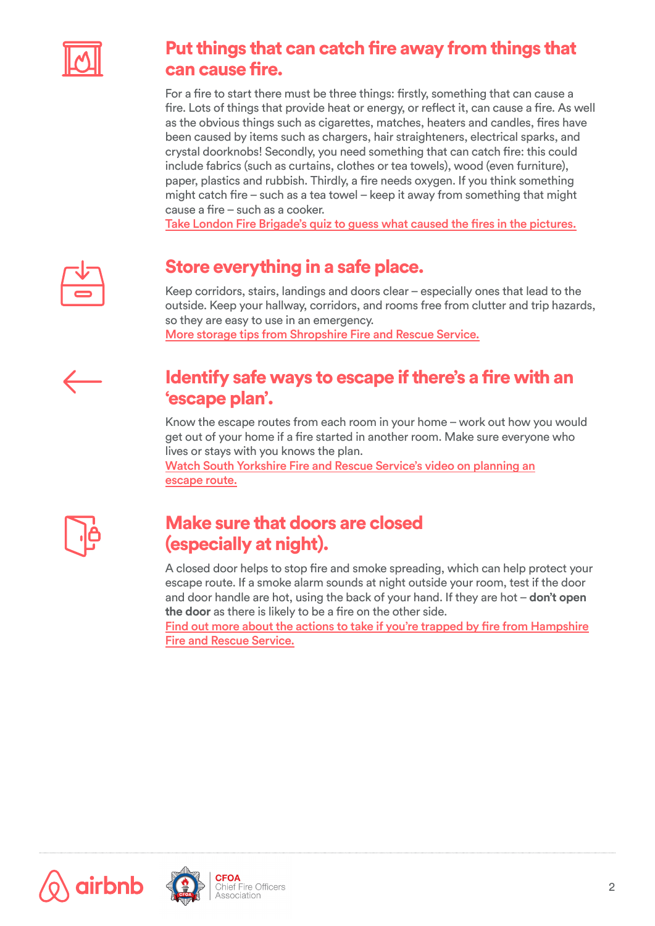

# [Put things that can catch fire away from things that](https://www.cheshirefire.gov.uk/homesafetycheck/)  can cause fire.

For a fire to start there must be three things: firstly, something that can cause a fire. Lots of things that provide heat or energy, or reflect it, can cause a fire. As well as the obvious things such as cigarettes, matches, heaters and candles, fires have been caused by items such as chargers, hair straighteners, electrical sparks, and crystal doorknobs! Secondly, you need something that can catch fire: this could include fabrics (such as curtains, clothes or tea towels), wood (even furniture), paper, plastics and rubbish. Thirdly, a fire needs oxygen. If you think something might catch fire – such as a tea towel – keep it away from something that might cause a fire – such as a cooker.

[Take London Fire Brigade's quiz to guess what caused the fires in the pictures.](http://www.london-fire.gov.uk/Flash/guess-the-cause-of-these-fires.asp)



# Store everything in a safe place.

Keep corridors, stairs, landings and doors clear – especially ones that lead to the outside. Keep your hallway, corridors, and rooms free from clutter and trip hazards, so they are easy to use in an emergency. [More storage tips from Shropshire Fire and Rescue Service.](https://www.shropshirefire.gov.uk/safety-home/top-tips)

# Identify safe ways to escape if there's a fire with an 'escape plan'.

Know the escape routes from each room in your home – work out how you would get out of your home if a fire started in another room. Make sure everyone who lives or stays with you knows the plan.

[Watch South Yorkshire Fire and Rescue Service's video on planning an](http://www.syfire.gov.uk/safety-advice/what-to-do-if-you-discover-a-fire/) [escape route.](http://www.syfire.gov.uk/safety-advice/what-to-do-if-you-discover-a-fire/)



# Make sure that doors are closed (especially at night).

A closed door helps to stop fire and smoke spreading, which can help protect your escape route. If a smoke alarm sounds at night outside your room, test if the door and door handle are hot, using the back of your hand. If they are hot – **don't open the door** as there is likely to be a fire on the other side.

[Find out more about the actions to take if you're trapped by fire from Hampshire](http://www.hantsfire.gov.uk/keeping-safe/fire-safety-in-the-home/make-your-fire-plans/trapped-by-fire/) [Fire and Rescue Service.](http://www.hantsfire.gov.uk/keeping-safe/fire-safety-in-the-home/make-your-fire-plans/trapped-by-fire/)





ire Officers